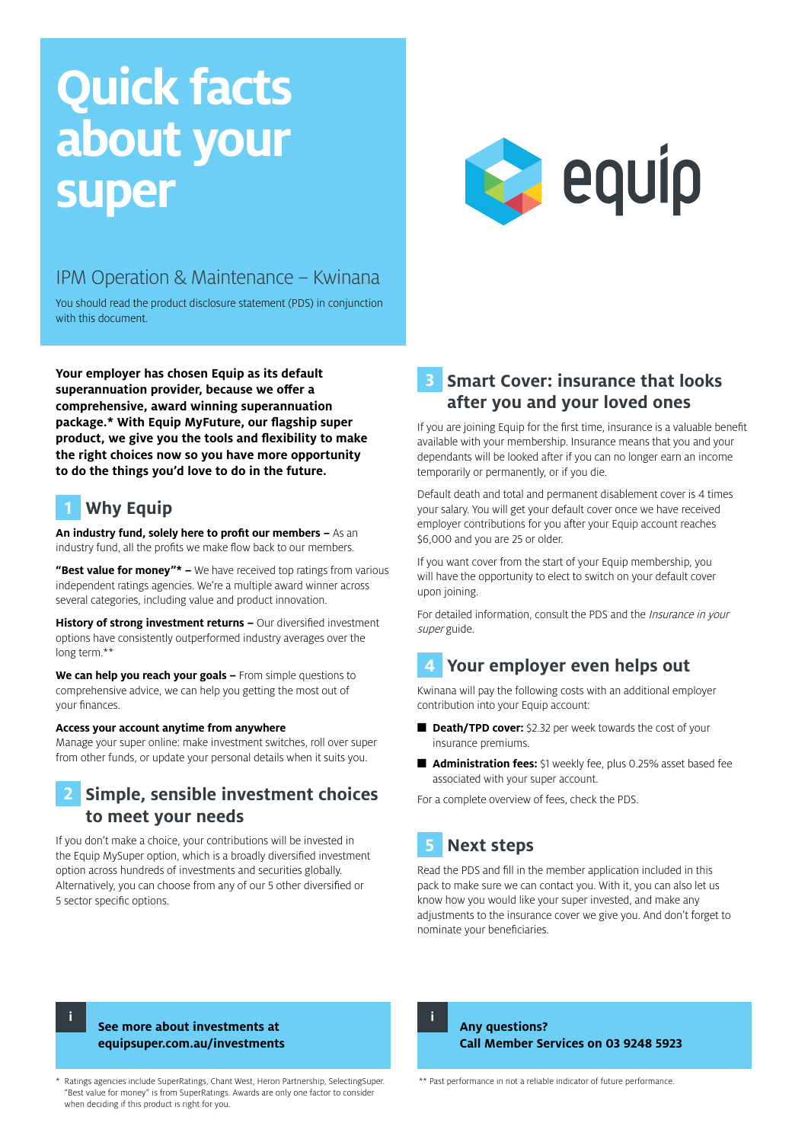# **Quick facts about your super**



## IPM Operation & Maintenance – Kwinana

You should read the product disclosure statement (PDS) in conjunction with this document.

**Your employer has chosen Equip as its default superannuation provider, because we offer a comprehensive, award winning superannuation package.\* With Equip MyFuture, our flagship super product, we give you the tools and flexibility to make the right choices now so you have more opportunity to do the things you'd love to do in the future.**

## **1 Why Equip**

**An industry fund, solely here to profit our members –** As an industry fund, all the profits we make flow back to our members.

**"Best value for money"\* –** We have received top ratings from various independent ratings agencies. We're a multiple award winner across several categories, including value and product innovation.

**History of strong investment returns –** Our diversified investment options have consistently outperformed industry averages over the long term.\*\*

**We can help you reach your goals –** From simple questions to comprehensive advice, we can help you getting the most out of your finances.

#### **Access your account anytime from anywhere**

Manage your super online: make investment switches, roll over super from other funds, or update your personal details when it suits you.

## **2 Simple, sensible investment choices to meet your needs**

If you don't make a choice, your contributions will be invested in the Equip MySuper option, which is a broadly diversified investment option across hundreds of investments and securities globally. Alternatively, you can choose from any of our 5 other diversified or 5 sector specific options.

## **3 Smart Cover: insurance that looks after you and your loved ones**

If you are joining Equip for the first time, insurance is a valuable benefit available with your membership. Insurance means that you and your dependants will be looked after if you can no longer earn an income temporarily or permanently, or if you die.

Default death and total and permanent disablement cover is 4 times your salary. You will get your default cover once we have received employer contributions for you after your Equip account reaches \$6,000 and you are 25 or older.

If you want cover from the start of your Equip membership, you will have the opportunity to elect to switch on your default cover upon joining.

For detailed information, consult the PDS and the Insurance in your super guide.

## **4 Your employer even helps out**

Kwinana will pay the following costs with an additional employer contribution into your Equip account:

- **Death/TPD cover:** \$2.32 per week towards the cost of your insurance premiums.
- **Administration fees:** \$1 weekly fee, plus 0.25% asset based fee associated with your super account.

For a complete overview of fees, check the PDS.

## **5 Next steps**

Read the PDS and fill in the member application included in this pack to make sure we can contact you. With it, you can also let us know how you would like your super invested, and make any adjustments to the insurance cover we give you. And don't forget to nominate your beneficiaries.

**i**

#### **See more about investments at equipsuper.com.au/investments**

\* Ratings agencies include SuperRatings, Chant West, Heron Partnership, SelectingSuper. "Best value for money" is from SuperRatings. Awards are only one factor to consider when deciding if this product is right for you.

**i**

**Any questions? Call Member Services on 03 9248 5923**

\*\* Past performance in not a reliable indicator of future performance.